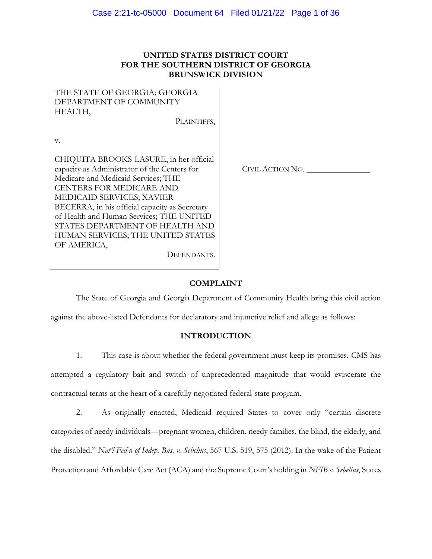## **UNITED STATES DISTRICT COURT FOR THE SOUTHERN DISTRICT OF GEORGIA BRUNSWICK DIVISION**

| THE STATE OF GEORGIA; GEORGIA |  |
|-------------------------------|--|
| DEPARTMENT OF COMMUNITY       |  |
| HEALTH,                       |  |
|                               |  |

PLAINTIFFS.

v.

CHIQUITA BROOKS-LASURE, in her official capacity as Administrator of the Centers for Medicare and Medicaid Services; THE CENTERS FOR MEDICARE AND MEDICAID SERVICES; XAVIER BECERRA, in his official capacity as Secretary of Health and Human Services; THE UNITED STATES DEPARTMENT OF HEALTH AND HUMAN SERVICES; THE UNITED STATES OF AMERICA,

CIVIL ACTION NO. \_\_\_\_\_\_\_\_\_\_\_\_\_\_\_

### **COMPLAINT**

The State of Georgia and Georgia Department of Community Health bring this civil action

against the above-listed Defendants for declaratory and injunctive relief and allege as follows:

DEFENDANTS.

## **INTRODUCTION**

1. This case is about whether the federal government must keep its promises. CMS has attempted a regulatory bait and switch of unprecedented magnitude that would eviscerate the contractual terms at the heart of a carefully negotiated federal-state program.

2. As originally enacted, Medicaid required States to cover only "certain discrete categories of needy individuals—pregnant women, children, needy families, the blind, the elderly, and the disabled." *Nat'l Fed'n of Indep. Bus. v. Sebelius*, 567 U.S. 519, 575 (2012). In the wake of the Patient Protection and Affordable Care Act (ACA) and the Supreme Court's holding in *NFIB v. Sebelius*, States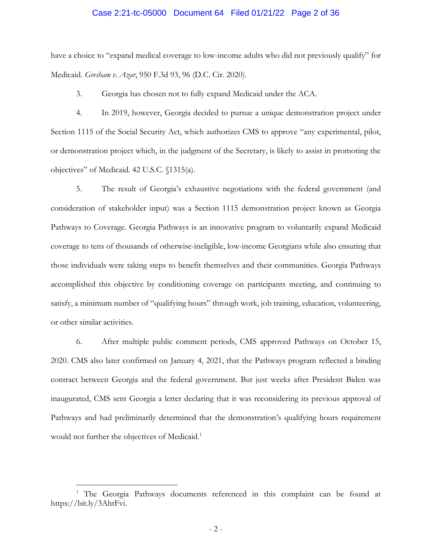### Case 2:21-tc-05000 Document 64 Filed 01/21/22 Page 2 of 36

have a choice to "expand medical coverage to low-income adults who did not previously qualify" for Medicaid. *Gresham v. Azar*, 950 F.3d 93, 96 (D.C. Cir. 2020).

3. Georgia has chosen not to fully expand Medicaid under the ACA.

4. In 2019, however, Georgia decided to pursue a unique demonstration project under Section 1115 of the Social Security Act, which authorizes CMS to approve "any experimental, pilot, or demonstration project which, in the judgment of the Secretary, is likely to assist in promoting the objectives" of Medicaid. 42 U.S.C. §1315(a).

5. The result of Georgia's exhaustive negotiations with the federal government (and consideration of stakeholder input) was a Section 1115 demonstration project known as Georgia Pathways to Coverage. Georgia Pathways is an innovative program to voluntarily expand Medicaid coverage to tens of thousands of otherwise-ineligible, low-income Georgians while also ensuring that those individuals were taking steps to benefit themselves and their communities. Georgia Pathways accomplished this objective by conditioning coverage on participants meeting, and continuing to satisfy, a minimum number of "qualifying hours" through work, job training, education, volunteering, or other similar activities.

6. After multiple public comment periods, CMS approved Pathways on October 15, 2020. CMS also later confirmed on January 4, 2021, that the Pathways program reflected a binding contract between Georgia and the federal government. But just weeks after President Biden was inaugurated, CMS sent Georgia a letter declaring that it was reconsidering its previous approval of Pathways and had preliminarily determined that the demonstration's qualifying hours requirement would not further the objectives of Medicaid.<sup>1</sup>

 $\overline{a}$ 

<sup>&</sup>lt;sup>1</sup> The Georgia Pathways documents referenced in this complaint can be found at https://bit.ly/3AhtFvi.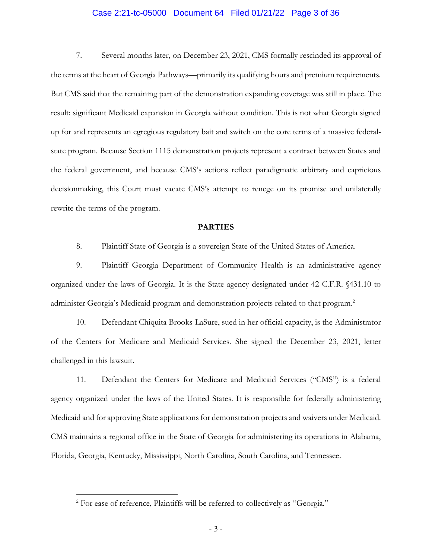### Case 2:21-tc-05000 Document 64 Filed 01/21/22 Page 3 of 36

7. Several months later, on December 23, 2021, CMS formally rescinded its approval of the terms at the heart of Georgia Pathways—primarily its qualifying hours and premium requirements. But CMS said that the remaining part of the demonstration expanding coverage was still in place. The result: significant Medicaid expansion in Georgia without condition. This is not what Georgia signed up for and represents an egregious regulatory bait and switch on the core terms of a massive federalstate program. Because Section 1115 demonstration projects represent a contract between States and the federal government, and because CMS's actions reflect paradigmatic arbitrary and capricious decisionmaking, this Court must vacate CMS's attempt to renege on its promise and unilaterally rewrite the terms of the program.

### **PARTIES**

8. Plaintiff State of Georgia is a sovereign State of the United States of America.

9. Plaintiff Georgia Department of Community Health is an administrative agency organized under the laws of Georgia. It is the State agency designated under 42 C.F.R. §431.10 to administer Georgia's Medicaid program and demonstration projects related to that program.<sup>2</sup>

10. Defendant Chiquita Brooks-LaSure, sued in her official capacity, is the Administrator of the Centers for Medicare and Medicaid Services. She signed the December 23, 2021, letter challenged in this lawsuit.

11. Defendant the Centers for Medicare and Medicaid Services ("CMS") is a federal agency organized under the laws of the United States. It is responsible for federally administering Medicaid and for approving State applications for demonstration projects and waivers under Medicaid. CMS maintains a regional office in the State of Georgia for administering its operations in Alabama, Florida, Georgia, Kentucky, Mississippi, North Carolina, South Carolina, and Tennessee.

 $\overline{a}$ 

<sup>&</sup>lt;sup>2</sup> For ease of reference, Plaintiffs will be referred to collectively as "Georgia."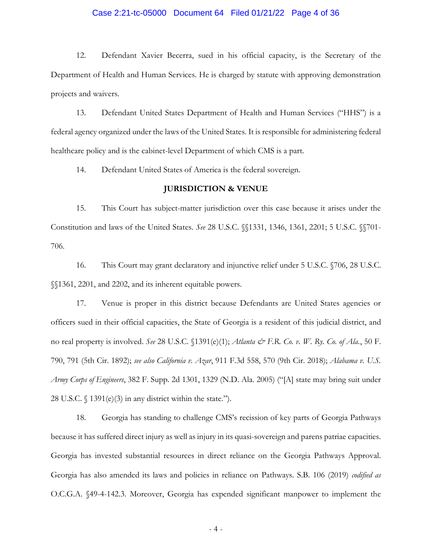### Case 2:21-tc-05000 Document 64 Filed 01/21/22 Page 4 of 36

12. Defendant Xavier Becerra, sued in his official capacity, is the Secretary of the Department of Health and Human Services. He is charged by statute with approving demonstration projects and waivers.

13. Defendant United States Department of Health and Human Services ("HHS") is a federal agency organized under the laws of the United States. It is responsible for administering federal healthcare policy and is the cabinet-level Department of which CMS is a part.

14. Defendant United States of America is the federal sovereign.

#### **JURISDICTION & VENUE**

15. This Court has subject-matter jurisdiction over this case because it arises under the Constitution and laws of the United States. *See* 28 U.S.C. §§1331, 1346, 1361, 2201; 5 U.S.C. §§701- 706.

16. This Court may grant declaratory and injunctive relief under 5 U.S.C. §706, 28 U.S.C. §§1361, 2201, and 2202, and its inherent equitable powers.

17. Venue is proper in this district because Defendants are United States agencies or officers sued in their official capacities, the State of Georgia is a resident of this judicial district, and no real property is involved. *See* 28 U.S.C. §1391(e)(1); *Atlanta & F.R. Co. v. W. Ry. Co. of Ala.*, 50 F. 790, 791 (5th Cir. 1892); *see also California v. Azar*, 911 F.3d 558, 570 (9th Cir. 2018); *Alabama v. U.S. Army Corps of Engineers*, 382 F. Supp. 2d 1301, 1329 (N.D. Ala. 2005) ("[A] state may bring suit under 28 U.S.C.  $\frac{1391(e)}{3}$  in any district within the state.").

18. Georgia has standing to challenge CMS's recission of key parts of Georgia Pathways because it has suffered direct injury as well as injury in its quasi-sovereign and parens patriae capacities. Georgia has invested substantial resources in direct reliance on the Georgia Pathways Approval. Georgia has also amended its laws and policies in reliance on Pathways. S.B. 106 (2019) *codified as* O.C.G.A. §49-4-142.3. Moreover, Georgia has expended significant manpower to implement the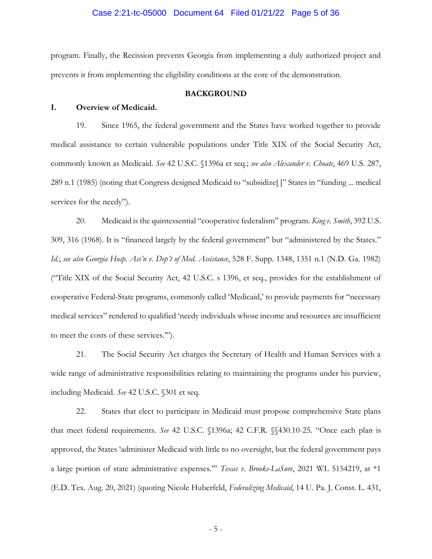#### Case 2:21-tc-05000 Document 64 Filed 01/21/22 Page 5 of 36

program. Finally, the Recission prevents Georgia from implementing a duly authorized project and prevents it from implementing the eligibility conditions at the core of the demonstration.

### **BACKGROUND**

### **I. Overview of Medicaid.**

19. Since 1965, the federal government and the States have worked together to provide medical assistance to certain vulnerable populations under Title XIX of the Social Security Act, commonly known as Medicaid. *See* 42 U.S.C. §1396a et seq.; *see also Alexander v. Choate*, 469 U.S. 287, 289 n.1 (1985) (noting that Congress designed Medicaid to "subsidize[ ]" States in "funding ... medical services for the needy").

20. Medicaid is the quintessential "cooperative federalism" program. *King v. Smith*, 392 U.S. 309, 316 (1968). It is "financed largely by the federal government" but "administered by the States." *Id.*; *see also Georgia Hosp. Ass'n v. Dep't of Med. Assistance*, 528 F. Supp. 1348, 1351 n.1 (N.D. Ga. 1982) ("Title XIX of the Social Security Act, 42 U.S.C. s 1396, et seq., provides for the establishment of cooperative Federal-State programs, commonly called 'Medicaid,' to provide payments for "necessary medical services" rendered to qualified 'needy individuals whose income and resources are insufficient to meet the costs of these services.'").

21. The Social Security Act charges the Secretary of Health and Human Services with a wide range of administrative responsibilities relating to maintaining the programs under his purview, including Medicaid. *See* 42 U.S.C. §301 et seq.

22. States that elect to participate in Medicaid must propose comprehensive State plans that meet federal requirements. *See* 42 U.S.C. §1396a; 42 C.F.R. §§430.10-25. "Once each plan is approved, the States 'administer Medicaid with little to no oversight, but the federal government pays a large portion of state administrative expenses.'" *Texas v. Brooks-LaSure*, 2021 WL 5154219, at \*1 (E.D. Tex. Aug. 20, 2021) (quoting Nicole Huberfeld, *Federalizing Medicaid*, 14 U. Pa. J. Const. L. 431,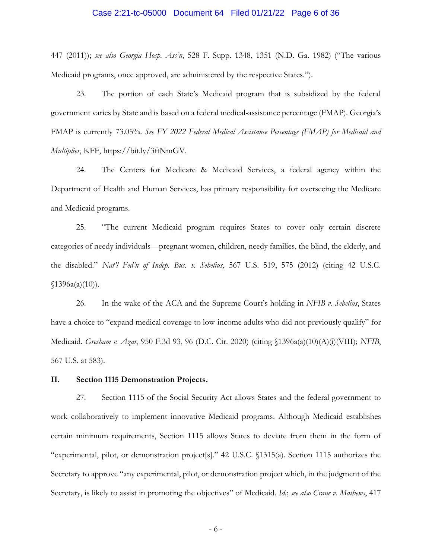### Case 2:21-tc-05000 Document 64 Filed 01/21/22 Page 6 of 36

447 (2011)); *see also Georgia Hosp. Ass'n*, 528 F. Supp. 1348, 1351 (N.D. Ga. 1982) ("The various Medicaid programs, once approved, are administered by the respective States.").

23. The portion of each State's Medicaid program that is subsidized by the federal government varies by State and is based on a federal medical-assistance percentage (FMAP). Georgia's FMAP is currently 73.05%. *See FY 2022 Federal Medical Assistance Percentage (FMAP) for Medicaid and Multiplier*, KFF, https://bit.ly/3ftNmGV.

24. The Centers for Medicare & Medicaid Services, a federal agency within the Department of Health and Human Services, has primary responsibility for overseeing the Medicare and Medicaid programs.

25. "The current Medicaid program requires States to cover only certain discrete categories of needy individuals—pregnant women, children, needy families, the blind, the elderly, and the disabled." *Nat'l Fed'n of Indep. Bus. v. Sebelius*, 567 U.S. 519, 575 (2012) (citing 42 U.S.C.  $$1396a(a)(10)$ ).

26. In the wake of the ACA and the Supreme Court's holding in *NFIB v. Sebelius*, States have a choice to "expand medical coverage to low-income adults who did not previously qualify" for Medicaid. *Gresham v. Azar*, 950 F.3d 93, 96 (D.C. Cir. 2020) (citing §1396a(a)(10)(A)(i)(VIII); *NFIB*, 567 U.S. at 583).

#### **II. Section 1115 Demonstration Projects.**

27. Section 1115 of the Social Security Act allows States and the federal government to work collaboratively to implement innovative Medicaid programs. Although Medicaid establishes certain minimum requirements, Section 1115 allows States to deviate from them in the form of "experimental, pilot, or demonstration project[s]." 42 U.S.C. §1315(a). Section 1115 authorizes the Secretary to approve "any experimental, pilot, or demonstration project which, in the judgment of the Secretary, is likely to assist in promoting the objectives" of Medicaid. *Id.*; *see also Crane v. Mathews*, 417

- 6 -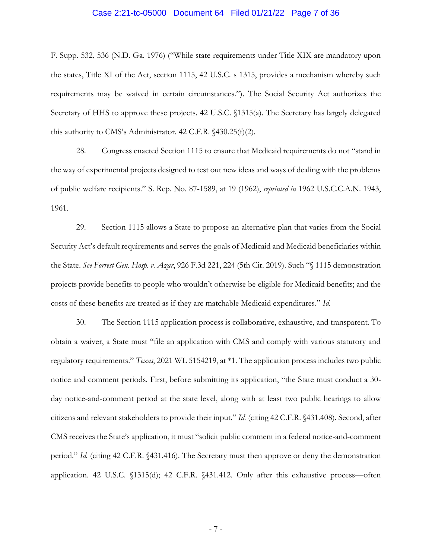### Case 2:21-tc-05000 Document 64 Filed 01/21/22 Page 7 of 36

F. Supp. 532, 536 (N.D. Ga. 1976) ("While state requirements under Title XIX are mandatory upon the states, Title XI of the Act, section 1115, 42 U.S.C. s 1315, provides a mechanism whereby such requirements may be waived in certain circumstances."). The Social Security Act authorizes the Secretary of HHS to approve these projects. 42 U.S.C. §1315(a). The Secretary has largely delegated this authority to CMS's Administrator. 42 C.F.R. §430.25(f)(2).

28. Congress enacted Section 1115 to ensure that Medicaid requirements do not "stand in the way of experimental projects designed to test out new ideas and ways of dealing with the problems of public welfare recipients." S. Rep. No. 87-1589, at 19 (1962), *reprinted in* 1962 U.S.C.C.A.N. 1943, 1961.

29. Section 1115 allows a State to propose an alternative plan that varies from the Social Security Act's default requirements and serves the goals of Medicaid and Medicaid beneficiaries within the State. *See Forrest Gen. Hosp. v. Azar*, 926 F.3d 221, 224 (5th Cir. 2019). Such "§ 1115 demonstration projects provide benefits to people who wouldn't otherwise be eligible for Medicaid benefits; and the costs of these benefits are treated as if they are matchable Medicaid expenditures." *Id.*

30. The Section 1115 application process is collaborative, exhaustive, and transparent. To obtain a waiver, a State must "file an application with CMS and comply with various statutory and regulatory requirements." *Texas*, 2021 WL 5154219, at \*1. The application process includes two public notice and comment periods. First, before submitting its application, "the State must conduct a 30 day notice-and-comment period at the state level, along with at least two public hearings to allow citizens and relevant stakeholders to provide their input." *Id.* (citing 42 C.F.R. §431.408). Second, after CMS receives the State's application, it must "solicit public comment in a federal notice-and-comment period." *Id.* (citing 42 C.F.R. §431.416). The Secretary must then approve or deny the demonstration application. 42 U.S.C. §1315(d); 42 C.F.R. §431.412. Only after this exhaustive process—often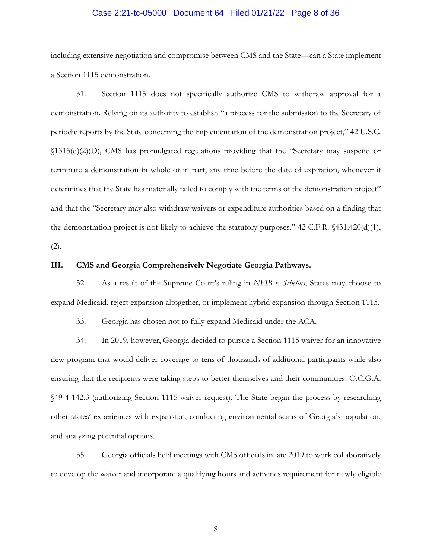### Case 2:21-tc-05000 Document 64 Filed 01/21/22 Page 8 of 36

including extensive negotiation and compromise between CMS and the State—can a State implement a Section 1115 demonstration.

31. Section 1115 does not specifically authorize CMS to withdraw approval for a demonstration. Relying on its authority to establish "a process for the submission to the Secretary of periodic reports by the State concerning the implementation of the demonstration project," 42 U.S.C. §1315(d)(2)(D), CMS has promulgated regulations providing that the "Secretary may suspend or terminate a demonstration in whole or in part, any time before the date of expiration, whenever it determines that the State has materially failed to comply with the terms of the demonstration project" and that the "Secretary may also withdraw waivers or expenditure authorities based on a finding that the demonstration project is not likely to achieve the statutory purposes." 42 C.F.R. §431.420(d)(1), (2).

### **III. CMS and Georgia Comprehensively Negotiate Georgia Pathways.**

32. As a result of the Supreme Court's ruling in *NFIB v. Sebelius*, States may choose to expand Medicaid, reject expansion altogether, or implement hybrid expansion through Section 1115.

33. Georgia has chosen not to fully expand Medicaid under the ACA.

34. In 2019, however, Georgia decided to pursue a Section 1115 waiver for an innovative new program that would deliver coverage to tens of thousands of additional participants while also ensuring that the recipients were taking steps to better themselves and their communities. O.C.G.A. §49-4-142.3 (authorizing Section 1115 waiver request). The State began the process by researching other states' experiences with expansion, conducting environmental scans of Georgia's population, and analyzing potential options.

35. Georgia officials held meetings with CMS officials in late 2019 to work collaboratively to develop the waiver and incorporate a qualifying hours and activities requirement for newly eligible

- 8 -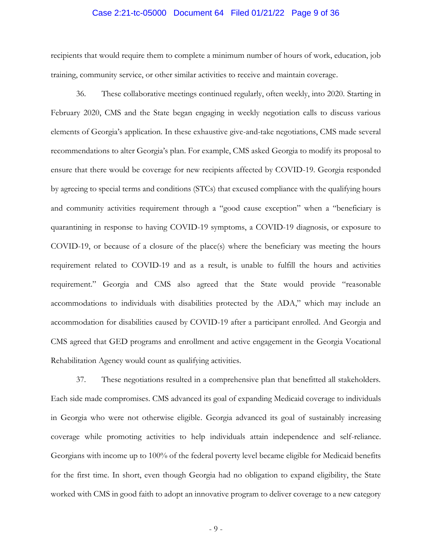### Case 2:21-tc-05000 Document 64 Filed 01/21/22 Page 9 of 36

recipients that would require them to complete a minimum number of hours of work, education, job training, community service, or other similar activities to receive and maintain coverage.

36. These collaborative meetings continued regularly, often weekly, into 2020. Starting in February 2020, CMS and the State began engaging in weekly negotiation calls to discuss various elements of Georgia's application. In these exhaustive give-and-take negotiations, CMS made several recommendations to alter Georgia's plan. For example, CMS asked Georgia to modify its proposal to ensure that there would be coverage for new recipients affected by COVID-19. Georgia responded by agreeing to special terms and conditions (STCs) that excused compliance with the qualifying hours and community activities requirement through a "good cause exception" when a "beneficiary is quarantining in response to having COVID-19 symptoms, a COVID-19 diagnosis, or exposure to COVID-19, or because of a closure of the place(s) where the beneficiary was meeting the hours requirement related to COVID-19 and as a result, is unable to fulfill the hours and activities requirement." Georgia and CMS also agreed that the State would provide "reasonable accommodations to individuals with disabilities protected by the ADA," which may include an accommodation for disabilities caused by COVID-19 after a participant enrolled. And Georgia and CMS agreed that GED programs and enrollment and active engagement in the Georgia Vocational Rehabilitation Agency would count as qualifying activities.

37. These negotiations resulted in a comprehensive plan that benefitted all stakeholders. Each side made compromises. CMS advanced its goal of expanding Medicaid coverage to individuals in Georgia who were not otherwise eligible. Georgia advanced its goal of sustainably increasing coverage while promoting activities to help individuals attain independence and self-reliance. Georgians with income up to 100% of the federal poverty level became eligible for Medicaid benefits for the first time. In short, even though Georgia had no obligation to expand eligibility, the State worked with CMS in good faith to adopt an innovative program to deliver coverage to a new category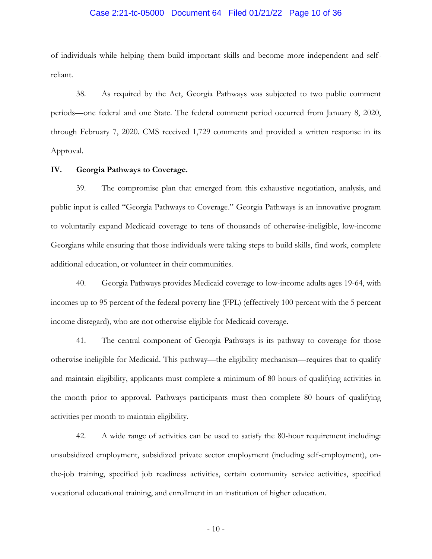### Case 2:21-tc-05000 Document 64 Filed 01/21/22 Page 10 of 36

of individuals while helping them build important skills and become more independent and selfreliant.

38. As required by the Act, Georgia Pathways was subjected to two public comment periods—one federal and one State. The federal comment period occurred from January 8, 2020, through February 7, 2020. CMS received 1,729 comments and provided a written response in its Approval.

#### **IV. Georgia Pathways to Coverage.**

39. The compromise plan that emerged from this exhaustive negotiation, analysis, and public input is called "Georgia Pathways to Coverage." Georgia Pathways is an innovative program to voluntarily expand Medicaid coverage to tens of thousands of otherwise-ineligible, low-income Georgians while ensuring that those individuals were taking steps to build skills, find work, complete additional education, or volunteer in their communities.

40. Georgia Pathways provides Medicaid coverage to low-income adults ages 19-64, with incomes up to 95 percent of the federal poverty line (FPL) (effectively 100 percent with the 5 percent income disregard), who are not otherwise eligible for Medicaid coverage.

41. The central component of Georgia Pathways is its pathway to coverage for those otherwise ineligible for Medicaid. This pathway—the eligibility mechanism—requires that to qualify and maintain eligibility, applicants must complete a minimum of 80 hours of qualifying activities in the month prior to approval. Pathways participants must then complete 80 hours of qualifying activities per month to maintain eligibility.

42. A wide range of activities can be used to satisfy the 80-hour requirement including: unsubsidized employment, subsidized private sector employment (including self-employment), onthe-job training, specified job readiness activities, certain community service activities, specified vocational educational training, and enrollment in an institution of higher education.

 $-10-$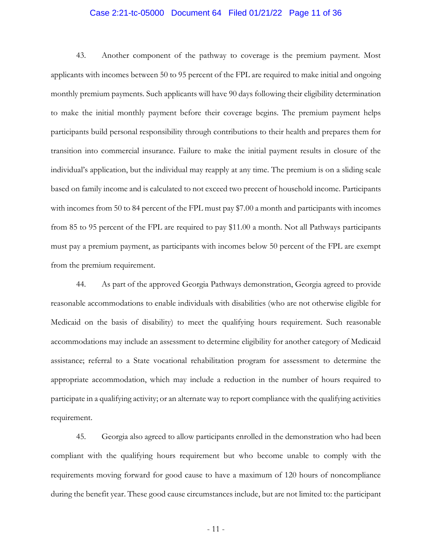### Case 2:21-tc-05000 Document 64 Filed 01/21/22 Page 11 of 36

43. Another component of the pathway to coverage is the premium payment. Most applicants with incomes between 50 to 95 percent of the FPL are required to make initial and ongoing monthly premium payments. Such applicants will have 90 days following their eligibility determination to make the initial monthly payment before their coverage begins. The premium payment helps participants build personal responsibility through contributions to their health and prepares them for transition into commercial insurance. Failure to make the initial payment results in closure of the individual's application, but the individual may reapply at any time. The premium is on a sliding scale based on family income and is calculated to not exceed two precent of household income. Participants with incomes from 50 to 84 percent of the FPL must pay \$7.00 a month and participants with incomes from 85 to 95 percent of the FPL are required to pay \$11.00 a month. Not all Pathways participants must pay a premium payment, as participants with incomes below 50 percent of the FPL are exempt from the premium requirement.

44. As part of the approved Georgia Pathways demonstration, Georgia agreed to provide reasonable accommodations to enable individuals with disabilities (who are not otherwise eligible for Medicaid on the basis of disability) to meet the qualifying hours requirement. Such reasonable accommodations may include an assessment to determine eligibility for another category of Medicaid assistance; referral to a State vocational rehabilitation program for assessment to determine the appropriate accommodation, which may include a reduction in the number of hours required to participate in a qualifying activity; or an alternate way to report compliance with the qualifying activities requirement.

45. Georgia also agreed to allow participants enrolled in the demonstration who had been compliant with the qualifying hours requirement but who become unable to comply with the requirements moving forward for good cause to have a maximum of 120 hours of noncompliance during the benefit year. These good cause circumstances include, but are not limited to: the participant

- 11 -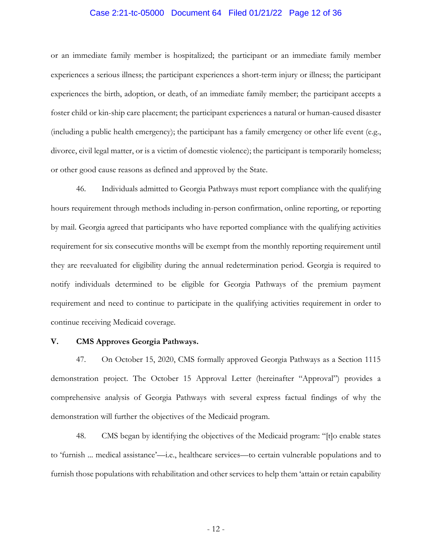### Case 2:21-tc-05000 Document 64 Filed 01/21/22 Page 12 of 36

or an immediate family member is hospitalized; the participant or an immediate family member experiences a serious illness; the participant experiences a short-term injury or illness; the participant experiences the birth, adoption, or death, of an immediate family member; the participant accepts a foster child or kin-ship care placement; the participant experiences a natural or human-caused disaster (including a public health emergency); the participant has a family emergency or other life event (e.g., divorce, civil legal matter, or is a victim of domestic violence); the participant is temporarily homeless; or other good cause reasons as defined and approved by the State.

46. Individuals admitted to Georgia Pathways must report compliance with the qualifying hours requirement through methods including in-person confirmation, online reporting, or reporting by mail. Georgia agreed that participants who have reported compliance with the qualifying activities requirement for six consecutive months will be exempt from the monthly reporting requirement until they are reevaluated for eligibility during the annual redetermination period. Georgia is required to notify individuals determined to be eligible for Georgia Pathways of the premium payment requirement and need to continue to participate in the qualifying activities requirement in order to continue receiving Medicaid coverage.

### **V. CMS Approves Georgia Pathways.**

47. On October 15, 2020, CMS formally approved Georgia Pathways as a Section 1115 demonstration project. The October 15 Approval Letter (hereinafter "Approval") provides a comprehensive analysis of Georgia Pathways with several express factual findings of why the demonstration will further the objectives of the Medicaid program.

48. CMS began by identifying the objectives of the Medicaid program: "[t]o enable states to 'furnish ... medical assistance'—i.e., healthcare services—to certain vulnerable populations and to furnish those populations with rehabilitation and other services to help them 'attain or retain capability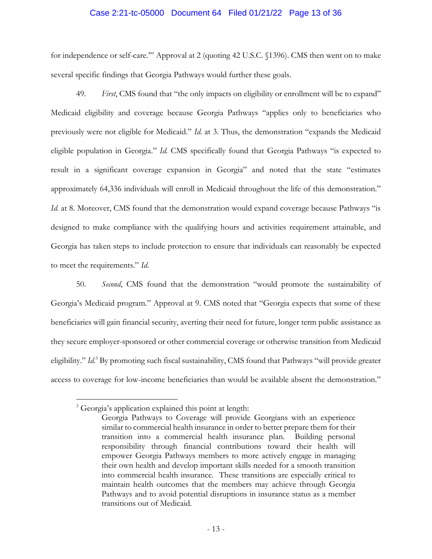### Case 2:21-tc-05000 Document 64 Filed 01/21/22 Page 13 of 36

for independence or self-care.'" Approval at 2 (quoting 42 U.S.C. §1396). CMS then went on to make several specific findings that Georgia Pathways would further these goals.

49. *First*, CMS found that "the only impacts on eligibility or enrollment will be to expand" Medicaid eligibility and coverage because Georgia Pathways "applies only to beneficiaries who previously were not eligible for Medicaid." *Id.* at 3. Thus, the demonstration "expands the Medicaid eligible population in Georgia." *Id.* CMS specifically found that Georgia Pathways "is expected to result in a significant coverage expansion in Georgia" and noted that the state "estimates approximately 64,336 individuals will enroll in Medicaid throughout the life of this demonstration." *Id.* at 8. Moreover, CMS found that the demonstration would expand coverage because Pathways "is designed to make compliance with the qualifying hours and activities requirement attainable, and Georgia has taken steps to include protection to ensure that individuals can reasonably be expected to meet the requirements." *Id.* 

50. *Second*, CMS found that the demonstration "would promote the sustainability of Georgia's Medicaid program." Approval at 9. CMS noted that "Georgia expects that some of these beneficiaries will gain financial security, averting their need for future, longer term public assistance as they secure employer-sponsored or other commercial coverage or otherwise transition from Medicaid eligibility." *Id.*<sup>3</sup> By promoting such fiscal sustainability, CMS found that Pathways "will provide greater access to coverage for low-income beneficiaries than would be available absent the demonstration."

 $\overline{a}$ <sup>3</sup> Georgia's application explained this point at length:

Georgia Pathways to Coverage will provide Georgians with an experience similar to commercial health insurance in order to better prepare them for their transition into a commercial health insurance plan. Building personal responsibility through financial contributions toward their health will empower Georgia Pathways members to more actively engage in managing their own health and develop important skills needed for a smooth transition into commercial health insurance. These transitions are especially critical to maintain health outcomes that the members may achieve through Georgia Pathways and to avoid potential disruptions in insurance status as a member transitions out of Medicaid.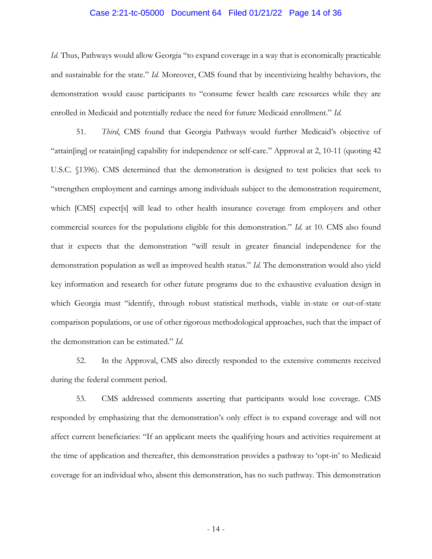# Case 2:21-tc-05000 Document 64 Filed 01/21/22 Page 14 of 36

*Id.* Thus, Pathways would allow Georgia "to expand coverage in a way that is economically practicable and sustainable for the state." *Id.* Moreover, CMS found that by incentivizing healthy behaviors, the demonstration would cause participants to "consume fewer health care resources while they are enrolled in Medicaid and potentially reduce the need for future Medicaid enrollment." *Id.* 

51. *Third*, CMS found that Georgia Pathways would further Medicaid's objective of "attain[ing] or reatain[ing] capability for independence or self-care." Approval at 2, 10-11 (quoting 42 U.S.C. §1396). CMS determined that the demonstration is designed to test policies that seek to "strengthen employment and earnings among individuals subject to the demonstration requirement, which [CMS] expect<sup>[s]</sup> will lead to other health insurance coverage from employers and other commercial sources for the populations eligible for this demonstration." *Id.* at 10. CMS also found that it expects that the demonstration "will result in greater financial independence for the demonstration population as well as improved health status." *Id.* The demonstration would also yield key information and research for other future programs due to the exhaustive evaluation design in which Georgia must "identify, through robust statistical methods, viable in-state or out-of-state comparison populations, or use of other rigorous methodological approaches, such that the impact of the demonstration can be estimated." *Id.* 

52. In the Approval, CMS also directly responded to the extensive comments received during the federal comment period.

53. CMS addressed comments asserting that participants would lose coverage. CMS responded by emphasizing that the demonstration's only effect is to expand coverage and will not affect current beneficiaries: "If an applicant meets the qualifying hours and activities requirement at the time of application and thereafter, this demonstration provides a pathway to 'opt-in' to Medicaid coverage for an individual who, absent this demonstration, has no such pathway. This demonstration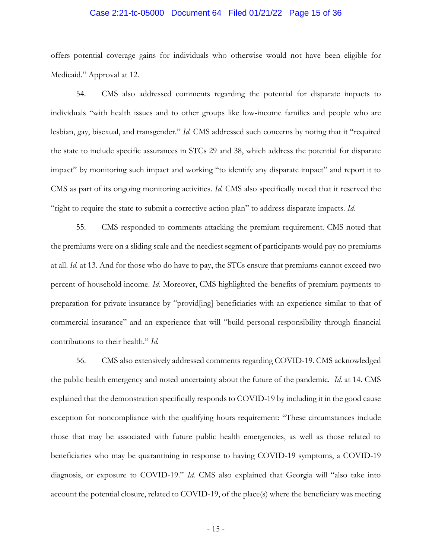### Case 2:21-tc-05000 Document 64 Filed 01/21/22 Page 15 of 36

offers potential coverage gains for individuals who otherwise would not have been eligible for Medicaid." Approval at 12.

54. CMS also addressed comments regarding the potential for disparate impacts to individuals "with health issues and to other groups like low-income families and people who are lesbian, gay, bisexual, and transgender." *Id.* CMS addressed such concerns by noting that it "required the state to include specific assurances in STCs 29 and 38, which address the potential for disparate impact" by monitoring such impact and working "to identify any disparate impact" and report it to CMS as part of its ongoing monitoring activities. *Id.* CMS also specifically noted that it reserved the "right to require the state to submit a corrective action plan" to address disparate impacts. *Id.* 

55. CMS responded to comments attacking the premium requirement. CMS noted that the premiums were on a sliding scale and the neediest segment of participants would pay no premiums at all. *Id.* at 13. And for those who do have to pay, the STCs ensure that premiums cannot exceed two percent of household income. *Id.* Moreover, CMS highlighted the benefits of premium payments to preparation for private insurance by "provid[ing] beneficiaries with an experience similar to that of commercial insurance" and an experience that will "build personal responsibility through financial contributions to their health." *Id.* 

56. CMS also extensively addressed comments regarding COVID-19. CMS acknowledged the public health emergency and noted uncertainty about the future of the pandemic. *Id.* at 14. CMS explained that the demonstration specifically responds to COVID-19 by including it in the good cause exception for noncompliance with the qualifying hours requirement: "These circumstances include those that may be associated with future public health emergencies, as well as those related to beneficiaries who may be quarantining in response to having COVID-19 symptoms, a COVID-19 diagnosis, or exposure to COVID-19." *Id.* CMS also explained that Georgia will "also take into account the potential closure, related to COVID-19, of the place(s) where the beneficiary was meeting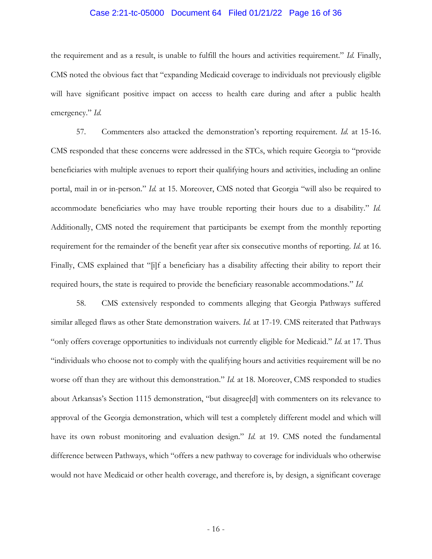# Case 2:21-tc-05000 Document 64 Filed 01/21/22 Page 16 of 36

the requirement and as a result, is unable to fulfill the hours and activities requirement." *Id.* Finally, CMS noted the obvious fact that "expanding Medicaid coverage to individuals not previously eligible will have significant positive impact on access to health care during and after a public health emergency." *Id.* 

57. Commenters also attacked the demonstration's reporting requirement. *Id.* at 15-16. CMS responded that these concerns were addressed in the STCs, which require Georgia to "provide beneficiaries with multiple avenues to report their qualifying hours and activities, including an online portal, mail in or in-person." *Id.* at 15. Moreover, CMS noted that Georgia "will also be required to accommodate beneficiaries who may have trouble reporting their hours due to a disability." *Id.* Additionally, CMS noted the requirement that participants be exempt from the monthly reporting requirement for the remainder of the benefit year after six consecutive months of reporting. *Id.* at 16. Finally, CMS explained that "[i]f a beneficiary has a disability affecting their ability to report their required hours, the state is required to provide the beneficiary reasonable accommodations." *Id.* 

58. CMS extensively responded to comments alleging that Georgia Pathways suffered similar alleged flaws as other State demonstration waivers. *Id.* at 17-19. CMS reiterated that Pathways "only offers coverage opportunities to individuals not currently eligible for Medicaid." *Id.* at 17. Thus "individuals who choose not to comply with the qualifying hours and activities requirement will be no worse off than they are without this demonstration." *Id.* at 18. Moreover, CMS responded to studies about Arkansas's Section 1115 demonstration, "but disagree[d] with commenters on its relevance to approval of the Georgia demonstration, which will test a completely different model and which will have its own robust monitoring and evaluation design." *Id.* at 19. CMS noted the fundamental difference between Pathways, which "offers a new pathway to coverage for individuals who otherwise would not have Medicaid or other health coverage, and therefore is, by design, a significant coverage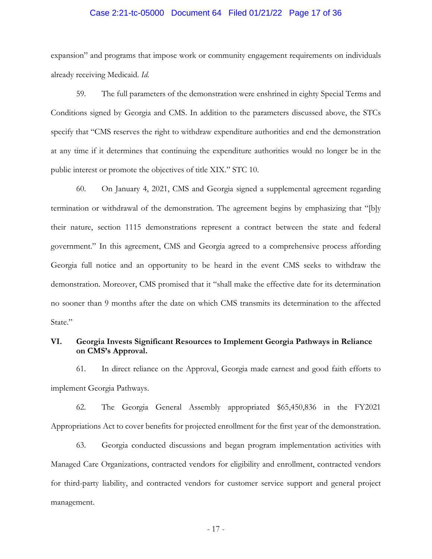### Case 2:21-tc-05000 Document 64 Filed 01/21/22 Page 17 of 36

expansion" and programs that impose work or community engagement requirements on individuals already receiving Medicaid. *Id.* 

59. The full parameters of the demonstration were enshrined in eighty Special Terms and Conditions signed by Georgia and CMS. In addition to the parameters discussed above, the STCs specify that "CMS reserves the right to withdraw expenditure authorities and end the demonstration at any time if it determines that continuing the expenditure authorities would no longer be in the public interest or promote the objectives of title XIX." STC 10.

60. On January 4, 2021, CMS and Georgia signed a supplemental agreement regarding termination or withdrawal of the demonstration. The agreement begins by emphasizing that "[b]y their nature, section 1115 demonstrations represent a contract between the state and federal government." In this agreement, CMS and Georgia agreed to a comprehensive process affording Georgia full notice and an opportunity to be heard in the event CMS seeks to withdraw the demonstration. Moreover, CMS promised that it "shall make the effective date for its determination no sooner than 9 months after the date on which CMS transmits its determination to the affected State."

## **VI. Georgia Invests Significant Resources to Implement Georgia Pathways in Reliance on CMS's Approval.**

61. In direct reliance on the Approval, Georgia made earnest and good faith efforts to implement Georgia Pathways.

62. The Georgia General Assembly appropriated \$65,450,836 in the FY2021 Appropriations Act to cover benefits for projected enrollment for the first year of the demonstration.

63. Georgia conducted discussions and began program implementation activities with Managed Care Organizations, contracted vendors for eligibility and enrollment, contracted vendors for third-party liability, and contracted vendors for customer service support and general project management.

- 17 -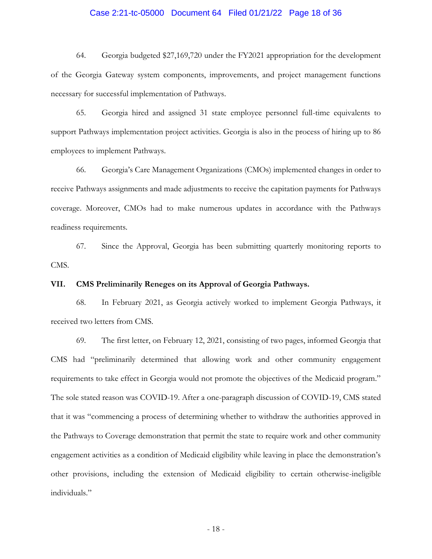### Case 2:21-tc-05000 Document 64 Filed 01/21/22 Page 18 of 36

64. Georgia budgeted \$27,169,720 under the FY2021 appropriation for the development of the Georgia Gateway system components, improvements, and project management functions necessary for successful implementation of Pathways.

65. Georgia hired and assigned 31 state employee personnel full-time equivalents to support Pathways implementation project activities. Georgia is also in the process of hiring up to 86 employees to implement Pathways.

66. Georgia's Care Management Organizations (CMOs) implemented changes in order to receive Pathways assignments and made adjustments to receive the capitation payments for Pathways coverage. Moreover, CMOs had to make numerous updates in accordance with the Pathways readiness requirements.

67. Since the Approval, Georgia has been submitting quarterly monitoring reports to CMS.

### **VII. CMS Preliminarily Reneges on its Approval of Georgia Pathways.**

68. In February 2021, as Georgia actively worked to implement Georgia Pathways, it received two letters from CMS.

69. The first letter, on February 12, 2021, consisting of two pages, informed Georgia that CMS had "preliminarily determined that allowing work and other community engagement requirements to take effect in Georgia would not promote the objectives of the Medicaid program." The sole stated reason was COVID-19. After a one-paragraph discussion of COVID-19, CMS stated that it was "commencing a process of determining whether to withdraw the authorities approved in the Pathways to Coverage demonstration that permit the state to require work and other community engagement activities as a condition of Medicaid eligibility while leaving in place the demonstration's other provisions, including the extension of Medicaid eligibility to certain otherwise-ineligible individuals."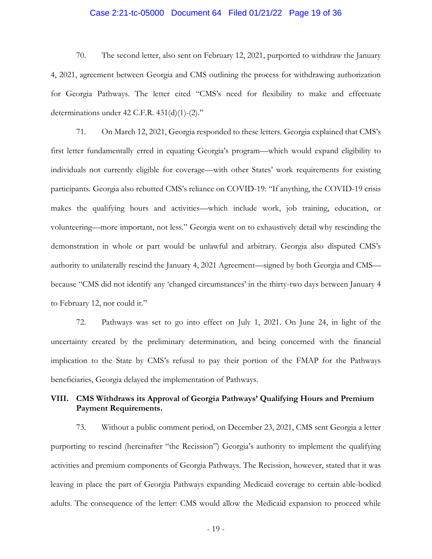# Case 2:21-tc-05000 Document 64 Filed 01/21/22 Page 19 of 36

70. The second letter, also sent on February 12, 2021, purported to withdraw the January 4, 2021, agreement between Georgia and CMS outlining the process for withdrawing authorization for Georgia Pathways. The letter cited "CMS's need for flexibility to make and effectuate determinations under 42 C.F.R. 431(d)(1)-(2)."

71. On March 12, 2021, Georgia responded to these letters. Georgia explained that CMS's first letter fundamentally erred in equating Georgia's program—which would expand eligibility to individuals not currently eligible for coverage—with other States' work requirements for existing participants. Georgia also rebutted CMS's reliance on COVID-19: "If anything, the COVID-19 crisis makes the qualifying hours and activities—which include work, job training, education, or volunteering—more important, not less." Georgia went on to exhaustively detail why rescinding the demonstration in whole or part would be unlawful and arbitrary. Georgia also disputed CMS's authority to unilaterally rescind the January 4, 2021 Agreement—signed by both Georgia and CMS because "CMS did not identify any 'changed circumstances' in the thirty-two days between January 4 to February 12, nor could it."

72. Pathways was set to go into effect on July 1, 2021. On June 24, in light of the uncertainty created by the preliminary determination, and being concerned with the financial implication to the State by CMS's refusal to pay their portion of the FMAP for the Pathways beneficiaries, Georgia delayed the implementation of Pathways.

## **VIII. CMS Withdraws its Approval of Georgia Pathways' Qualifying Hours and Premium Payment Requirements.**

73. Without a public comment period, on December 23, 2021, CMS sent Georgia a letter purporting to rescind (hereinafter "the Recission") Georgia's authority to implement the qualifying activities and premium components of Georgia Pathways. The Recission, however, stated that it was leaving in place the part of Georgia Pathways expanding Medicaid coverage to certain able-bodied adults. The consequence of the letter: CMS would allow the Medicaid expansion to proceed while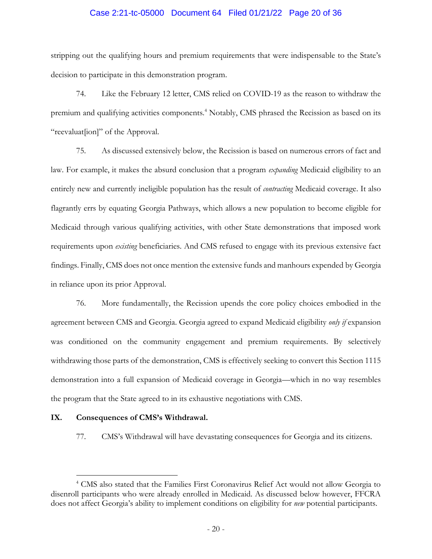### Case 2:21-tc-05000 Document 64 Filed 01/21/22 Page 20 of 36

stripping out the qualifying hours and premium requirements that were indispensable to the State's decision to participate in this demonstration program.

74. Like the February 12 letter, CMS relied on COVID-19 as the reason to withdraw the premium and qualifying activities components.<sup>4</sup> Notably, CMS phrased the Recission as based on its "reevaluat[ion]" of the Approval.

75. As discussed extensively below, the Recission is based on numerous errors of fact and law. For example, it makes the absurd conclusion that a program *expanding* Medicaid eligibility to an entirely new and currently ineligible population has the result of *contracting* Medicaid coverage. It also flagrantly errs by equating Georgia Pathways, which allows a new population to become eligible for Medicaid through various qualifying activities, with other State demonstrations that imposed work requirements upon *existing* beneficiaries. And CMS refused to engage with its previous extensive fact findings. Finally, CMS does not once mention the extensive funds and manhours expended by Georgia in reliance upon its prior Approval.

76. More fundamentally, the Recission upends the core policy choices embodied in the agreement between CMS and Georgia. Georgia agreed to expand Medicaid eligibility *only if* expansion was conditioned on the community engagement and premium requirements. By selectively withdrawing those parts of the demonstration, CMS is effectively seeking to convert this Section 1115 demonstration into a full expansion of Medicaid coverage in Georgia—which in no way resembles the program that the State agreed to in its exhaustive negotiations with CMS.

### **IX. Consequences of CMS's Withdrawal.**

 $\overline{a}$ 

77. CMS's Withdrawal will have devastating consequences for Georgia and its citizens.

<sup>4</sup> CMS also stated that the Families First Coronavirus Relief Act would not allow Georgia to disenroll participants who were already enrolled in Medicaid. As discussed below however, FFCRA does not affect Georgia's ability to implement conditions on eligibility for *new* potential participants.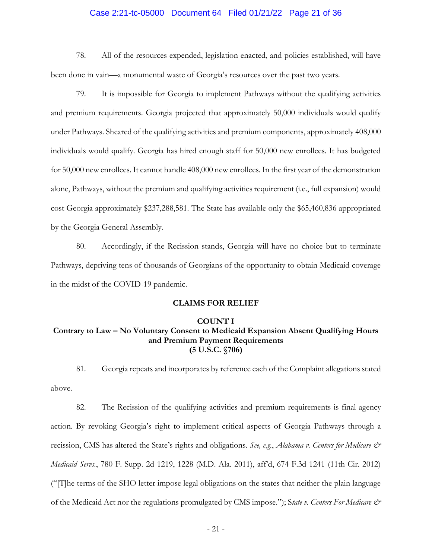### Case 2:21-tc-05000 Document 64 Filed 01/21/22 Page 21 of 36

78. All of the resources expended, legislation enacted, and policies established, will have been done in vain—a monumental waste of Georgia's resources over the past two years.

79. It is impossible for Georgia to implement Pathways without the qualifying activities and premium requirements. Georgia projected that approximately 50,000 individuals would qualify under Pathways. Sheared of the qualifying activities and premium components, approximately 408,000 individuals would qualify. Georgia has hired enough staff for 50,000 new enrollees. It has budgeted for 50,000 new enrollees. It cannot handle 408,000 new enrollees. In the first year of the demonstration alone, Pathways, without the premium and qualifying activities requirement (i.e., full expansion) would cost Georgia approximately \$237,288,581. The State has available only the \$65,460,836 appropriated by the Georgia General Assembly.

80. Accordingly, if the Recission stands, Georgia will have no choice but to terminate Pathways, depriving tens of thousands of Georgians of the opportunity to obtain Medicaid coverage in the midst of the COVID-19 pandemic.

### **CLAIMS FOR RELIEF**

#### **COUNT I**

## **Contrary to Law – No Voluntary Consent to Medicaid Expansion Absent Qualifying Hours and Premium Payment Requirements (5 U.S.C. §706)**

81. Georgia repeats and incorporates by reference each of the Complaint allegations stated above.

82. The Recission of the qualifying activities and premium requirements is final agency action. By revoking Georgia's right to implement critical aspects of Georgia Pathways through a recission, CMS has altered the State's rights and obligations. *See, e.g.*, *Alabama v. Centers for Medicare & Medicaid Servs.*, 780 F. Supp. 2d 1219, 1228 (M.D. Ala. 2011), aff'd, 674 F.3d 1241 (11th Cir. 2012) ("[T]he terms of the SHO letter impose legal obligations on the states that neither the plain language of the Medicaid Act nor the regulations promulgated by CMS impose."); S*tate v. Centers For Medicare &*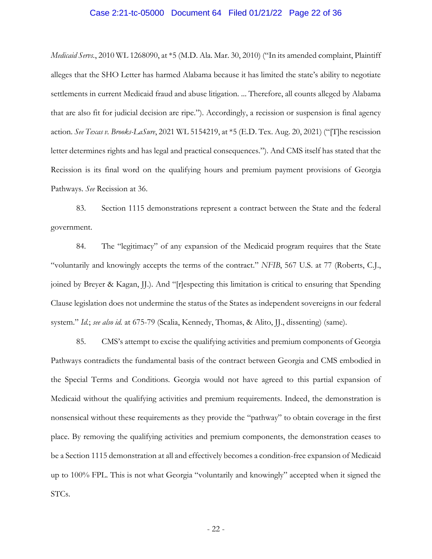# Case 2:21-tc-05000 Document 64 Filed 01/21/22 Page 22 of 36

*Medicaid Servs.*, 2010 WL 1268090, at \*5 (M.D. Ala. Mar. 30, 2010) ("In its amended complaint, Plaintiff alleges that the SHO Letter has harmed Alabama because it has limited the state's ability to negotiate settlements in current Medicaid fraud and abuse litigation. ... Therefore, all counts alleged by Alabama that are also fit for judicial decision are ripe."). Accordingly, a recission or suspension is final agency action. *See Texas v. Brooks-LaSure*, 2021 WL 5154219, at \*5 (E.D. Tex. Aug. 20, 2021) ("[T]he rescission letter determines rights and has legal and practical consequences."). And CMS itself has stated that the Recission is its final word on the qualifying hours and premium payment provisions of Georgia Pathways. *See* Recission at 36.

83. Section 1115 demonstrations represent a contract between the State and the federal government.

84. The "legitimacy" of any expansion of the Medicaid program requires that the State "voluntarily and knowingly accepts the terms of the contract." *NFIB*, 567 U.S. at 77 (Roberts, C.J., joined by Breyer & Kagan, JJ.). And "[r]especting this limitation is critical to ensuring that Spending Clause legislation does not undermine the status of the States as independent sovereigns in our federal system." *Id.*; *see also id.* at 675-79 (Scalia, Kennedy, Thomas, & Alito, JJ., dissenting) (same).

85. CMS's attempt to excise the qualifying activities and premium components of Georgia Pathways contradicts the fundamental basis of the contract between Georgia and CMS embodied in the Special Terms and Conditions. Georgia would not have agreed to this partial expansion of Medicaid without the qualifying activities and premium requirements. Indeed, the demonstration is nonsensical without these requirements as they provide the "pathway" to obtain coverage in the first place. By removing the qualifying activities and premium components, the demonstration ceases to be a Section 1115 demonstration at all and effectively becomes a condition-free expansion of Medicaid up to 100% FPL. This is not what Georgia "voluntarily and knowingly" accepted when it signed the STCs.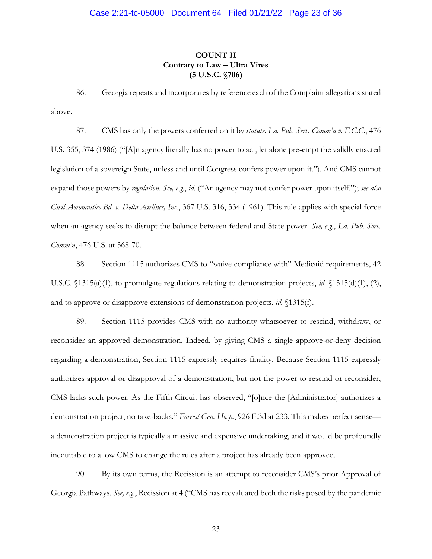# **COUNT II Contrary to Law – Ultra Vires (5 U.S.C. §706)**

86. Georgia repeats and incorporates by reference each of the Complaint allegations stated above.

87. CMS has only the powers conferred on it by *statute*. *La. Pub. Serv. Comm'n v. F.C.C.*, 476 U.S. 355, 374 (1986) ("[A]n agency literally has no power to act, let alone pre-empt the validly enacted legislation of a sovereign State, unless and until Congress confers power upon it."). And CMS cannot expand those powers by *regulation*. *See, e.g.*, *id.* ("An agency may not confer power upon itself."); *see also Civil Aeronautics Bd. v. Delta Airlines, Inc.*, 367 U.S. 316, 334 (1961). This rule applies with special force when an agency seeks to disrupt the balance between federal and State power. *See, e.g.*, *La. Pub. Serv. Comm'n*, 476 U.S. at 368-70.

88. Section 1115 authorizes CMS to "waive compliance with" Medicaid requirements, 42 U.S.C. §1315(a)(1), to promulgate regulations relating to demonstration projects, *id.* §1315(d)(1), (2), and to approve or disapprove extensions of demonstration projects, *id.* §1315(f).

89. Section 1115 provides CMS with no authority whatsoever to rescind, withdraw, or reconsider an approved demonstration. Indeed, by giving CMS a single approve-or-deny decision regarding a demonstration, Section 1115 expressly requires finality. Because Section 1115 expressly authorizes approval or disapproval of a demonstration, but not the power to rescind or reconsider, CMS lacks such power. As the Fifth Circuit has observed, "[o]nce the [Administrator] authorizes a demonstration project, no take-backs." *Forrest Gen. Hosp.*, 926 F.3d at 233. This makes perfect sense a demonstration project is typically a massive and expensive undertaking, and it would be profoundly inequitable to allow CMS to change the rules after a project has already been approved.

90. By its own terms, the Recission is an attempt to reconsider CMS's prior Approval of Georgia Pathways. *See, e.g.*, Recission at 4 ("CMS has reevaluated both the risks posed by the pandemic

- 23 -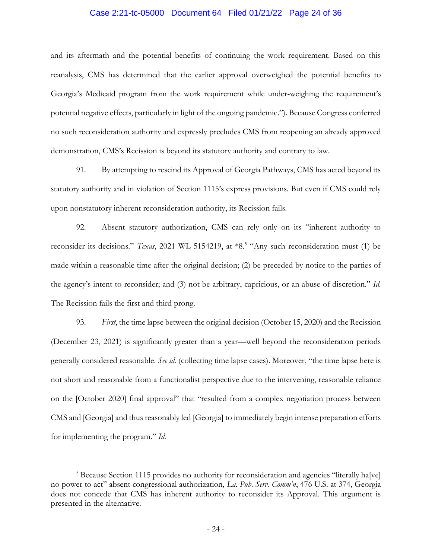# Case 2:21-tc-05000 Document 64 Filed 01/21/22 Page 24 of 36

and its aftermath and the potential benefits of continuing the work requirement. Based on this reanalysis, CMS has determined that the earlier approval overweighed the potential benefits to Georgia's Medicaid program from the work requirement while under-weighing the requirement's potential negative effects, particularly in light of the ongoing pandemic."). Because Congress conferred no such reconsideration authority and expressly precludes CMS from reopening an already approved demonstration, CMS's Recission is beyond its statutory authority and contrary to law.

91. By attempting to rescind its Approval of Georgia Pathways, CMS has acted beyond its statutory authority and in violation of Section 1115's express provisions. But even if CMS could rely upon nonstatutory inherent reconsideration authority, its Recission fails.

92. Absent statutory authorization, CMS can rely only on its "inherent authority to reconsider its decisions." *Texas*, 2021 WL 5154219, at \*8.<sup>5</sup> "Any such reconsideration must (1) be made within a reasonable time after the original decision; (2) be preceded by notice to the parties of the agency's intent to reconsider; and (3) not be arbitrary, capricious, or an abuse of discretion." *Id.* The Recission fails the first and third prong.

93. *First*, the time lapse between the original decision (October 15, 2020) and the Recission (December 23, 2021) is significantly greater than a year—well beyond the reconsideration periods generally considered reasonable. *See id.* (collecting time lapse cases). Moreover, "the time lapse here is not short and reasonable from a functionalist perspective due to the intervening, reasonable reliance on the [October 2020] final approval" that "resulted from a complex negotiation process between CMS and [Georgia] and thus reasonably led [Georgia] to immediately begin intense preparation efforts for implementing the program." *Id.*

 $\overline{a}$ 

<sup>&</sup>lt;sup>5</sup> Because Section 1115 provides no authority for reconsideration and agencies "literally ha[ve] no power to act" absent congressional authorization, *La. Pub. Serv. Comm'n*, 476 U.S. at 374, Georgia does not concede that CMS has inherent authority to reconsider its Approval. This argument is presented in the alternative.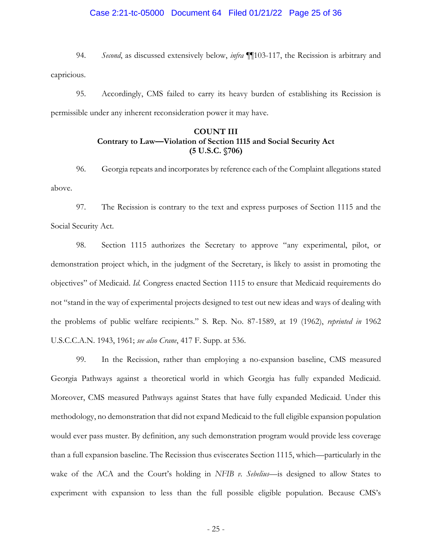# Case 2:21-tc-05000 Document 64 Filed 01/21/22 Page 25 of 36

94. *Second*, as discussed extensively below, *infra* ¶¶103-117, the Recission is arbitrary and capricious.

95. Accordingly, CMS failed to carry its heavy burden of establishing its Recission is permissible under any inherent reconsideration power it may have.

# **COUNT III Contrary to Law—Violation of Section 1115 and Social Security Act (5 U.S.C. §706)**

96. Georgia repeats and incorporates by reference each of the Complaint allegations stated above.

97. The Recission is contrary to the text and express purposes of Section 1115 and the Social Security Act.

98. Section 1115 authorizes the Secretary to approve "any experimental, pilot, or demonstration project which, in the judgment of the Secretary, is likely to assist in promoting the objectives" of Medicaid. *Id.* Congress enacted Section 1115 to ensure that Medicaid requirements do not "stand in the way of experimental projects designed to test out new ideas and ways of dealing with the problems of public welfare recipients." S. Rep. No. 87-1589, at 19 (1962), *reprinted in* 1962 U.S.C.C.A.N. 1943, 1961; *see also Crane*, 417 F. Supp. at 536.

99. In the Recission, rather than employing a no-expansion baseline, CMS measured Georgia Pathways against a theoretical world in which Georgia has fully expanded Medicaid. Moreover, CMS measured Pathways against States that have fully expanded Medicaid. Under this methodology, no demonstration that did not expand Medicaid to the full eligible expansion population would ever pass muster. By definition, any such demonstration program would provide less coverage than a full expansion baseline. The Recission thus eviscerates Section 1115, which—particularly in the wake of the ACA and the Court's holding in *NFIB v. Sebelius*—is designed to allow States to experiment with expansion to less than the full possible eligible population. Because CMS's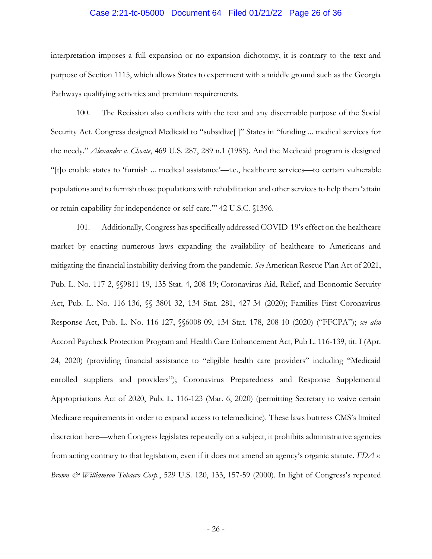### Case 2:21-tc-05000 Document 64 Filed 01/21/22 Page 26 of 36

interpretation imposes a full expansion or no expansion dichotomy, it is contrary to the text and purpose of Section 1115, which allows States to experiment with a middle ground such as the Georgia Pathways qualifying activities and premium requirements.

100. The Recission also conflicts with the text and any discernable purpose of the Social Security Act. Congress designed Medicaid to "subsidize[ ]" States in "funding ... medical services for the needy." *Alexander v. Choate*, 469 U.S. 287, 289 n.1 (1985). And the Medicaid program is designed "[t]o enable states to 'furnish ... medical assistance'—i.e., healthcare services—to certain vulnerable populations and to furnish those populations with rehabilitation and other services to help them 'attain or retain capability for independence or self-care.'" 42 U.S.C. §1396.

101. Additionally, Congress has specifically addressed COVID-19's effect on the healthcare market by enacting numerous laws expanding the availability of healthcare to Americans and mitigating the financial instability deriving from the pandemic. *See* American Rescue Plan Act of 2021, Pub. L. No. 117-2, §§9811-19, 135 Stat. 4, 208-19; Coronavirus Aid, Relief, and Economic Security Act, Pub. L. No. 116-136, §§ 3801-32, 134 Stat. 281, 427-34 (2020); Families First Coronavirus Response Act, Pub. L. No. 116-127, §§6008-09, 134 Stat. 178, 208-10 (2020) ("FFCPA"); *see also*  Accord Paycheck Protection Program and Health Care Enhancement Act, Pub L. 116-139, tit. I (Apr. 24, 2020) (providing financial assistance to "eligible health care providers" including "Medicaid enrolled suppliers and providers"); Coronavirus Preparedness and Response Supplemental Appropriations Act of 2020, Pub. L. 116-123 (Mar. 6, 2020) (permitting Secretary to waive certain Medicare requirements in order to expand access to telemedicine). These laws buttress CMS's limited discretion here—when Congress legislates repeatedly on a subject, it prohibits administrative agencies from acting contrary to that legislation, even if it does not amend an agency's organic statute. *FDA v. Brown & Williamson Tobacco Corp.*, 529 U.S. 120, 133, 157-59 (2000). In light of Congress's repeated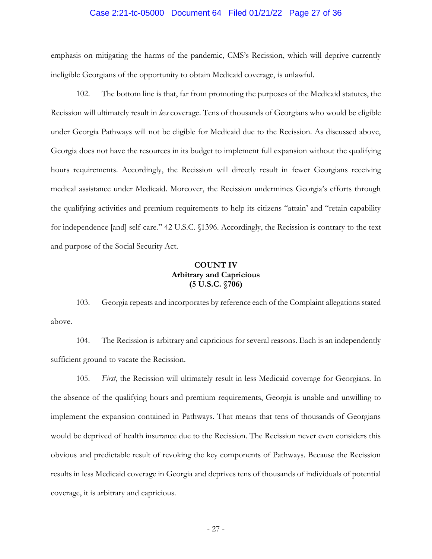# Case 2:21-tc-05000 Document 64 Filed 01/21/22 Page 27 of 36

emphasis on mitigating the harms of the pandemic, CMS's Recission, which will deprive currently ineligible Georgians of the opportunity to obtain Medicaid coverage, is unlawful.

102. The bottom line is that, far from promoting the purposes of the Medicaid statutes, the Recission will ultimately result in *less* coverage. Tens of thousands of Georgians who would be eligible under Georgia Pathways will not be eligible for Medicaid due to the Recission. As discussed above, Georgia does not have the resources in its budget to implement full expansion without the qualifying hours requirements. Accordingly, the Recission will directly result in fewer Georgians receiving medical assistance under Medicaid. Moreover, the Recission undermines Georgia's efforts through the qualifying activities and premium requirements to help its citizens "attain' and "retain capability for independence [and] self-care." 42 U.S.C. §1396. Accordingly, the Recission is contrary to the text and purpose of the Social Security Act.

# **COUNT IV Arbitrary and Capricious (5 U.S.C. §706)**

103. Georgia repeats and incorporates by reference each of the Complaint allegations stated above.

104. The Recission is arbitrary and capricious for several reasons. Each is an independently sufficient ground to vacate the Recission.

105. *First*, the Recission will ultimately result in less Medicaid coverage for Georgians. In the absence of the qualifying hours and premium requirements, Georgia is unable and unwilling to implement the expansion contained in Pathways. That means that tens of thousands of Georgians would be deprived of health insurance due to the Recission. The Recission never even considers this obvious and predictable result of revoking the key components of Pathways. Because the Recission results in less Medicaid coverage in Georgia and deprives tens of thousands of individuals of potential coverage, it is arbitrary and capricious.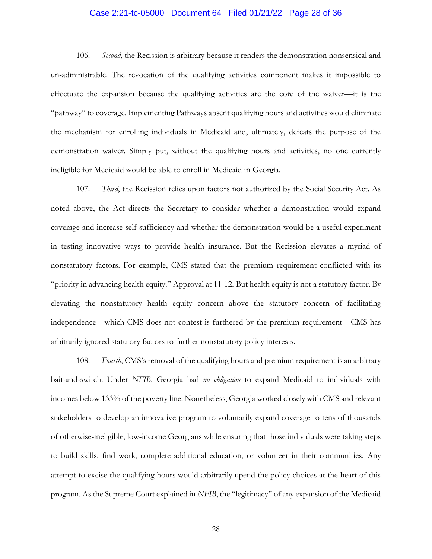# Case 2:21-tc-05000 Document 64 Filed 01/21/22 Page 28 of 36

106. *Second*, the Recission is arbitrary because it renders the demonstration nonsensical and un-administrable. The revocation of the qualifying activities component makes it impossible to effectuate the expansion because the qualifying activities are the core of the waiver—it is the "pathway" to coverage. Implementing Pathways absent qualifying hours and activities would eliminate the mechanism for enrolling individuals in Medicaid and, ultimately, defeats the purpose of the demonstration waiver. Simply put, without the qualifying hours and activities, no one currently ineligible for Medicaid would be able to enroll in Medicaid in Georgia.

107. *Third*, the Recission relies upon factors not authorized by the Social Security Act. As noted above, the Act directs the Secretary to consider whether a demonstration would expand coverage and increase self-sufficiency and whether the demonstration would be a useful experiment in testing innovative ways to provide health insurance. But the Recission elevates a myriad of nonstatutory factors. For example, CMS stated that the premium requirement conflicted with its "priority in advancing health equity." Approval at 11-12. But health equity is not a statutory factor. By elevating the nonstatutory health equity concern above the statutory concern of facilitating independence—which CMS does not contest is furthered by the premium requirement—CMS has arbitrarily ignored statutory factors to further nonstatutory policy interests.

108. *Fourth*, CMS's removal of the qualifying hours and premium requirement is an arbitrary bait-and-switch. Under *NFIB*, Georgia had *no obligation* to expand Medicaid to individuals with incomes below 133% of the poverty line. Nonetheless, Georgia worked closely with CMS and relevant stakeholders to develop an innovative program to voluntarily expand coverage to tens of thousands of otherwise-ineligible, low-income Georgians while ensuring that those individuals were taking steps to build skills, find work, complete additional education, or volunteer in their communities. Any attempt to excise the qualifying hours would arbitrarily upend the policy choices at the heart of this program. As the Supreme Court explained in *NFIB*, the "legitimacy" of any expansion of the Medicaid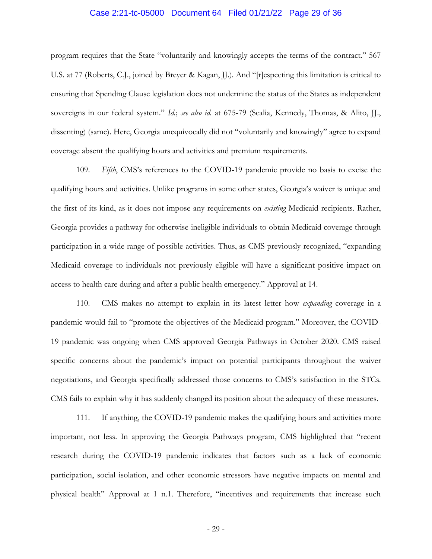### Case 2:21-tc-05000 Document 64 Filed 01/21/22 Page 29 of 36

program requires that the State "voluntarily and knowingly accepts the terms of the contract." 567 U.S. at 77 (Roberts, C.J., joined by Breyer & Kagan, JJ.). And "[r]especting this limitation is critical to ensuring that Spending Clause legislation does not undermine the status of the States as independent sovereigns in our federal system." *Id.*; *see also id.* at 675-79 (Scalia, Kennedy, Thomas, & Alito, JJ., dissenting) (same). Here, Georgia unequivocally did not "voluntarily and knowingly" agree to expand coverage absent the qualifying hours and activities and premium requirements.

109. *Fifth*, CMS's references to the COVID-19 pandemic provide no basis to excise the qualifying hours and activities. Unlike programs in some other states, Georgia's waiver is unique and the first of its kind, as it does not impose any requirements on *existing* Medicaid recipients. Rather, Georgia provides a pathway for otherwise-ineligible individuals to obtain Medicaid coverage through participation in a wide range of possible activities. Thus, as CMS previously recognized, "expanding Medicaid coverage to individuals not previously eligible will have a significant positive impact on access to health care during and after a public health emergency." Approval at 14.

110. CMS makes no attempt to explain in its latest letter how *expanding* coverage in a pandemic would fail to "promote the objectives of the Medicaid program." Moreover, the COVID-19 pandemic was ongoing when CMS approved Georgia Pathways in October 2020. CMS raised specific concerns about the pandemic's impact on potential participants throughout the waiver negotiations, and Georgia specifically addressed those concerns to CMS's satisfaction in the STCs. CMS fails to explain why it has suddenly changed its position about the adequacy of these measures.

111. If anything, the COVID-19 pandemic makes the qualifying hours and activities more important, not less. In approving the Georgia Pathways program, CMS highlighted that "recent research during the COVID-19 pandemic indicates that factors such as a lack of economic participation, social isolation, and other economic stressors have negative impacts on mental and physical health" Approval at 1 n.1. Therefore, "incentives and requirements that increase such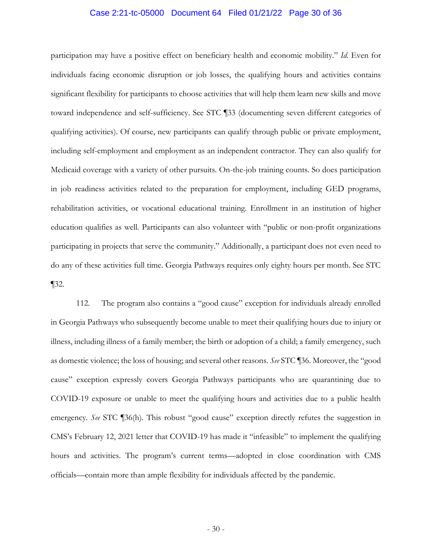# Case 2:21-tc-05000 Document 64 Filed 01/21/22 Page 30 of 36

participation may have a positive effect on beneficiary health and economic mobility." *Id.* Even for individuals facing economic disruption or job losses, the qualifying hours and activities contains significant flexibility for participants to choose activities that will help them learn new skills and move toward independence and self-sufficiency. See STC ¶33 (documenting seven different categories of qualifying activities). Of course, new participants can qualify through public or private employment, including self-employment and employment as an independent contractor. They can also qualify for Medicaid coverage with a variety of other pursuits. On-the-job training counts. So does participation in job readiness activities related to the preparation for employment, including GED programs, rehabilitation activities, or vocational educational training. Enrollment in an institution of higher education qualifies as well. Participants can also volunteer with "public or non-profit organizations participating in projects that serve the community." Additionally, a participant does not even need to do any of these activities full time. Georgia Pathways requires only eighty hours per month. See STC ¶32.

112. The program also contains a "good cause" exception for individuals already enrolled in Georgia Pathways who subsequently become unable to meet their qualifying hours due to injury or illness, including illness of a family member; the birth or adoption of a child; a family emergency, such as domestic violence; the loss of housing; and several other reasons. *See* STC ¶36. Moreover, the "good cause" exception expressly covers Georgia Pathways participants who are quarantining due to COVID-19 exposure or unable to meet the qualifying hours and activities due to a public health emergency. *See* STC ¶36(h). This robust "good cause" exception directly refutes the suggestion in CMS's February 12, 2021 letter that COVID-19 has made it "infeasible" to implement the qualifying hours and activities. The program's current terms—adopted in close coordination with CMS officials—contain more than ample flexibility for individuals affected by the pandemic.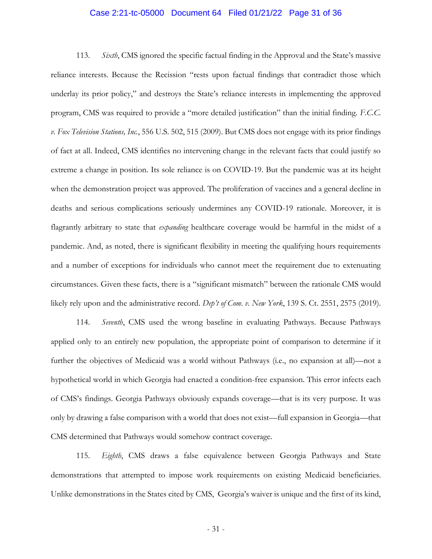### Case 2:21-tc-05000 Document 64 Filed 01/21/22 Page 31 of 36

113. *Sixth*, CMS ignored the specific factual finding in the Approval and the State's massive reliance interests. Because the Recission "rests upon factual findings that contradict those which underlay its prior policy," and destroys the State's reliance interests in implementing the approved program, CMS was required to provide a "more detailed justification" than the initial finding. *F.C.C. v. Fox Television Stations, Inc.*, 556 U.S. 502, 515 (2009). But CMS does not engage with its prior findings of fact at all. Indeed, CMS identifies no intervening change in the relevant facts that could justify so extreme a change in position. Its sole reliance is on COVID-19. But the pandemic was at its height when the demonstration project was approved. The proliferation of vaccines and a general decline in deaths and serious complications seriously undermines any COVID-19 rationale. Moreover, it is flagrantly arbitrary to state that *expanding* healthcare coverage would be harmful in the midst of a pandemic. And, as noted, there is significant flexibility in meeting the qualifying hours requirements and a number of exceptions for individuals who cannot meet the requirement due to extenuating circumstances. Given these facts, there is a "significant mismatch" between the rationale CMS would likely rely upon and the administrative record. *Dep't of Com. v. New York*, 139 S. Ct. 2551, 2575 (2019).

114. *Seventh*, CMS used the wrong baseline in evaluating Pathways. Because Pathways applied only to an entirely new population, the appropriate point of comparison to determine if it further the objectives of Medicaid was a world without Pathways (i.e., no expansion at all)—not a hypothetical world in which Georgia had enacted a condition-free expansion. This error infects each of CMS's findings. Georgia Pathways obviously expands coverage—that is its very purpose. It was only by drawing a false comparison with a world that does not exist—full expansion in Georgia—that CMS determined that Pathways would somehow contract coverage.

115. *Eighth*, CMS draws a false equivalence between Georgia Pathways and State demonstrations that attempted to impose work requirements on existing Medicaid beneficiaries. Unlike demonstrations in the States cited by CMS, Georgia's waiver is unique and the first of its kind,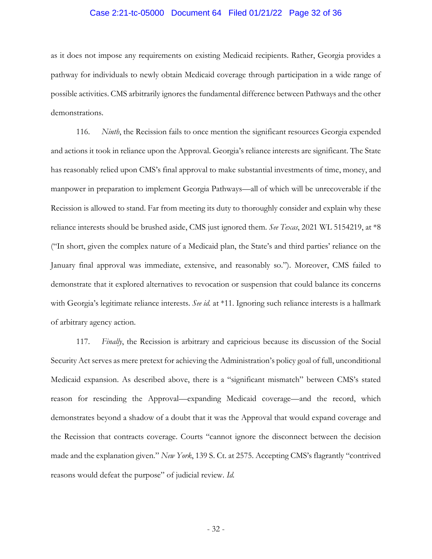# Case 2:21-tc-05000 Document 64 Filed 01/21/22 Page 32 of 36

as it does not impose any requirements on existing Medicaid recipients. Rather, Georgia provides a pathway for individuals to newly obtain Medicaid coverage through participation in a wide range of possible activities. CMS arbitrarily ignores the fundamental difference between Pathways and the other demonstrations.

116. *Ninth*, the Recission fails to once mention the significant resources Georgia expended and actions it took in reliance upon the Approval. Georgia's reliance interests are significant. The State has reasonably relied upon CMS's final approval to make substantial investments of time, money, and manpower in preparation to implement Georgia Pathways—all of which will be unrecoverable if the Recission is allowed to stand. Far from meeting its duty to thoroughly consider and explain why these reliance interests should be brushed aside, CMS just ignored them. *See Texas*, 2021 WL 5154219, at \*8 ("In short, given the complex nature of a Medicaid plan, the State's and third parties' reliance on the January final approval was immediate, extensive, and reasonably so."). Moreover, CMS failed to demonstrate that it explored alternatives to revocation or suspension that could balance its concerns with Georgia's legitimate reliance interests. *See id.* at \*11. Ignoring such reliance interests is a hallmark of arbitrary agency action.

117. *Finally*, the Recission is arbitrary and capricious because its discussion of the Social Security Act serves as mere pretext for achieving the Administration's policy goal of full, unconditional Medicaid expansion. As described above, there is a "significant mismatch" between CMS's stated reason for rescinding the Approval—expanding Medicaid coverage—and the record, which demonstrates beyond a shadow of a doubt that it was the Approval that would expand coverage and the Recission that contracts coverage. Courts "cannot ignore the disconnect between the decision made and the explanation given." *New York*, 139 S. Ct. at 2575. Accepting CMS's flagrantly "contrived reasons would defeat the purpose" of judicial review. *Id.*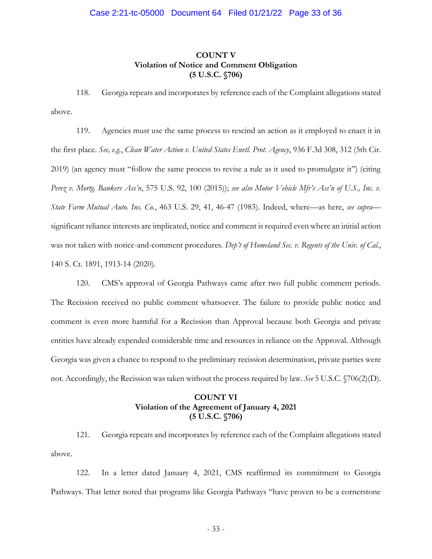# **COUNT V Violation of Notice and Comment Obligation (5 U.S.C. §706)**

118. Georgia repeats and incorporates by reference each of the Complaint allegations stated above.

119. Agencies must use the same process to rescind an action as it employed to enact it in the first place. *See, e.g.*, *Clean Water Action v. United States Envtl. Prot. Agency*, 936 F.3d 308, 312 (5th Cir. 2019) (an agency must "follow the same process to revise a rule as it used to promulgate it") (citing *Perez v. Mortg. Bankers Ass'n*, 575 U.S. 92, 100 (2015)); *see also Motor Vehicle Mfr's Ass'n of U.S., Inc. v. State Farm Mutual Auto. Ins. Co.*, 463 U.S. 29, 41, 46-47 (1983). Indeed, where—as here, *see supra* significant reliance interests are implicated, notice and comment is required even where an initial action was not taken with notice-and-comment procedures. *Dep't of Homeland Sec. v. Regents of the Univ. of Cal.*, 140 S. Ct. 1891, 1913-14 (2020).

120. CMS's approval of Georgia Pathways came after two full public comment periods. The Recission received no public comment whatsoever. The failure to provide public notice and comment is even more harmful for a Recission than Approval because both Georgia and private entities have already expended considerable time and resources in reliance on the Approval. Although Georgia was given a chance to respond to the preliminary recission determination, private parties were not. Accordingly, the Recission was taken without the process required by law. *See* 5 U.S.C. §706(2)(D).

# **COUNT VI Violation of the Agreement of January 4, 2021 (5 U.S.C. §706)**

121. Georgia repeats and incorporates by reference each of the Complaint allegations stated above.

122. In a letter dated January 4, 2021, CMS reaffirmed its commitment to Georgia Pathways. That letter noted that programs like Georgia Pathways "have proven to be a cornerstone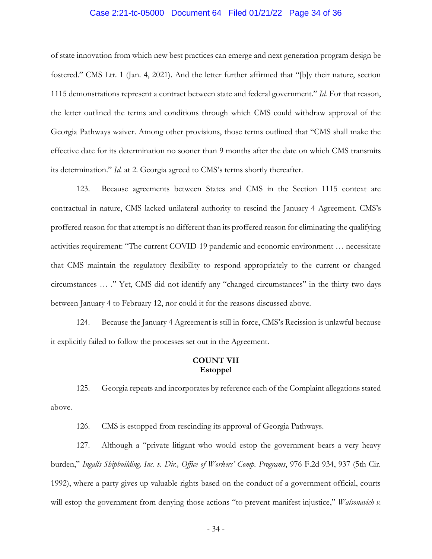### Case 2:21-tc-05000 Document 64 Filed 01/21/22 Page 34 of 36

of state innovation from which new best practices can emerge and next generation program design be fostered." CMS Ltr. 1 (Jan. 4, 2021). And the letter further affirmed that "[b]y their nature, section 1115 demonstrations represent a contract between state and federal government." *Id.* For that reason, the letter outlined the terms and conditions through which CMS could withdraw approval of the Georgia Pathways waiver. Among other provisions, those terms outlined that "CMS shall make the effective date for its determination no sooner than 9 months after the date on which CMS transmits its determination." *Id.* at 2. Georgia agreed to CMS's terms shortly thereafter.

123. Because agreements between States and CMS in the Section 1115 context are contractual in nature, CMS lacked unilateral authority to rescind the January 4 Agreement. CMS's proffered reason for that attempt is no different than its proffered reason for eliminating the qualifying activities requirement: "The current COVID-19 pandemic and economic environment … necessitate that CMS maintain the regulatory flexibility to respond appropriately to the current or changed circumstances … ." Yet, CMS did not identify any "changed circumstances" in the thirty-two days between January 4 to February 12, nor could it for the reasons discussed above.

124. Because the January 4 Agreement is still in force, CMS's Recission is unlawful because it explicitly failed to follow the processes set out in the Agreement.

## **COUNT VII Estoppel**

125. Georgia repeats and incorporates by reference each of the Complaint allegations stated above.

126. CMS is estopped from rescinding its approval of Georgia Pathways.

127. Although a "private litigant who would estop the government bears a very heavy burden," *Ingalls Shipbuilding, Inc. v. Dir., Office of Workers' Comp. Programs*, 976 F.2d 934, 937 (5th Cir. 1992), where a party gives up valuable rights based on the conduct of a government official, courts will estop the government from denying those actions "to prevent manifest injustice," *Walsonavich v.*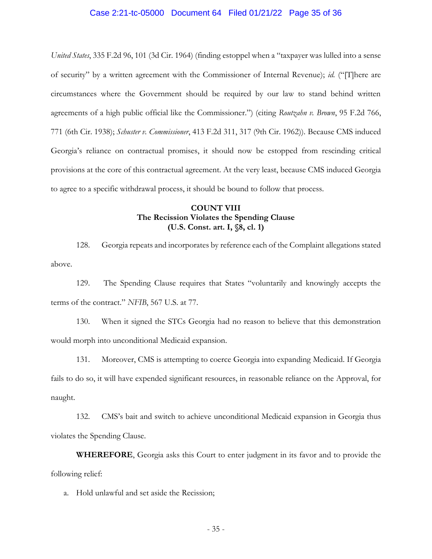# Case 2:21-tc-05000 Document 64 Filed 01/21/22 Page 35 of 36

*United States*, 335 F.2d 96, 101 (3d Cir. 1964) (finding estoppel when a "taxpayer was lulled into a sense of security" by a written agreement with the Commissioner of Internal Revenue); *id.* ("[T]here are circumstances where the Government should be required by our law to stand behind written agreements of a high public official like the Commissioner.") (citing *Routzahn v. Brown*, 95 F.2d 766, 771 (6th Cir. 1938); *Schuster v. Commissioner*, 413 F.2d 311, 317 (9th Cir. 1962)). Because CMS induced Georgia's reliance on contractual promises, it should now be estopped from rescinding critical provisions at the core of this contractual agreement. At the very least, because CMS induced Georgia to agree to a specific withdrawal process, it should be bound to follow that process.

## **COUNT VIII The Recission Violates the Spending Clause (U.S. Const. art. I, §8, cl. 1)**

128. Georgia repeats and incorporates by reference each of the Complaint allegations stated above.

129. The Spending Clause requires that States "voluntarily and knowingly accepts the terms of the contract." *NFIB*, 567 U.S. at 77.

130. When it signed the STCs Georgia had no reason to believe that this demonstration would morph into unconditional Medicaid expansion.

131. Moreover, CMS is attempting to coerce Georgia into expanding Medicaid. If Georgia fails to do so, it will have expended significant resources, in reasonable reliance on the Approval, for naught.

132. CMS's bait and switch to achieve unconditional Medicaid expansion in Georgia thus violates the Spending Clause.

**WHEREFORE**, Georgia asks this Court to enter judgment in its favor and to provide the following relief:

a. Hold unlawful and set aside the Recission;